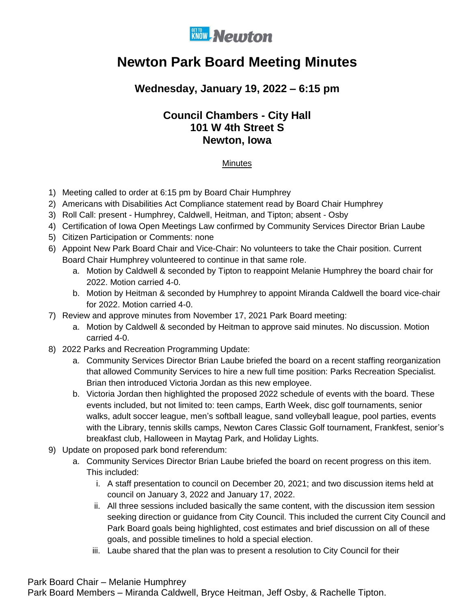

# **Newton Park Board Meeting Minutes**

## **Wednesday, January 19, 2022 – 6:15 pm**

### **Council Chambers - City Hall 101 W 4th Street S Newton, Iowa**

#### **Minutes**

- 1) Meeting called to order at 6:15 pm by Board Chair Humphrey
- 2) Americans with Disabilities Act Compliance statement read by Board Chair Humphrey
- 3) Roll Call: present Humphrey, Caldwell, Heitman, and Tipton; absent Osby
- 4) Certification of Iowa Open Meetings Law confirmed by Community Services Director Brian Laube
- 5) Citizen Participation or Comments: none
- 6) Appoint New Park Board Chair and Vice-Chair: No volunteers to take the Chair position. Current Board Chair Humphrey volunteered to continue in that same role.
	- a. Motion by Caldwell & seconded by Tipton to reappoint Melanie Humphrey the board chair for 2022. Motion carried 4-0.
	- b. Motion by Heitman & seconded by Humphrey to appoint Miranda Caldwell the board vice-chair for 2022. Motion carried 4-0.
- 7) Review and approve minutes from November 17, 2021 Park Board meeting:
	- a. Motion by Caldwell & seconded by Heitman to approve said minutes. No discussion. Motion carried 4-0.
- 8) 2022 Parks and Recreation Programming Update:
	- a. Community Services Director Brian Laube briefed the board on a recent staffing reorganization that allowed Community Services to hire a new full time position: Parks Recreation Specialist. Brian then introduced Victoria Jordan as this new employee.
	- b. Victoria Jordan then highlighted the proposed 2022 schedule of events with the board. These events included, but not limited to: teen camps, Earth Week, disc golf tournaments, senior walks, adult soccer league, men's softball league, sand volleyball league, pool parties, events with the Library, tennis skills camps, Newton Cares Classic Golf tournament, Frankfest, senior's breakfast club, Halloween in Maytag Park, and Holiday Lights.
- 9) Update on proposed park bond referendum:
	- a. Community Services Director Brian Laube briefed the board on recent progress on this item. This included:
		- i. A staff presentation to council on December 20, 2021; and two discussion items held at council on January 3, 2022 and January 17, 2022.
		- ii. All three sessions included basically the same content, with the discussion item session seeking direction or guidance from City Council. This included the current City Council and Park Board goals being highlighted, cost estimates and brief discussion on all of these goals, and possible timelines to hold a special election.
		- iii. Laube shared that the plan was to present a resolution to City Council for their

#### Park Board Chair – Melanie Humphrey

Park Board Members – Miranda Caldwell, Bryce Heitman, Jeff Osby, & Rachelle Tipton.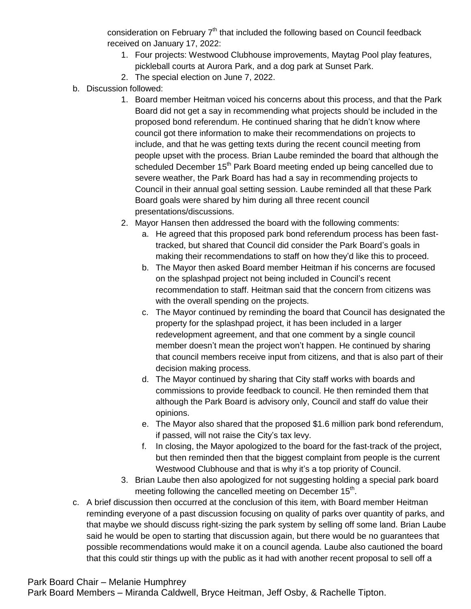consideration on February  $7<sup>th</sup>$  that included the following based on Council feedback received on January 17, 2022:

- 1. Four projects: Westwood Clubhouse improvements, Maytag Pool play features, pickleball courts at Aurora Park, and a dog park at Sunset Park.
- 2. The special election on June 7, 2022.
- b. Discussion followed:
	- 1. Board member Heitman voiced his concerns about this process, and that the Park Board did not get a say in recommending what projects should be included in the proposed bond referendum. He continued sharing that he didn't know where council got there information to make their recommendations on projects to include, and that he was getting texts during the recent council meeting from people upset with the process. Brian Laube reminded the board that although the scheduled December  $15<sup>th</sup>$  Park Board meeting ended up being cancelled due to severe weather, the Park Board has had a say in recommending projects to Council in their annual goal setting session. Laube reminded all that these Park Board goals were shared by him during all three recent council presentations/discussions.
	- 2. Mayor Hansen then addressed the board with the following comments:
		- a. He agreed that this proposed park bond referendum process has been fasttracked, but shared that Council did consider the Park Board's goals in making their recommendations to staff on how they'd like this to proceed.
		- b. The Mayor then asked Board member Heitman if his concerns are focused on the splashpad project not being included in Council's recent recommendation to staff. Heitman said that the concern from citizens was with the overall spending on the projects.
		- c. The Mayor continued by reminding the board that Council has designated the property for the splashpad project, it has been included in a larger redevelopment agreement, and that one comment by a single council member doesn't mean the project won't happen. He continued by sharing that council members receive input from citizens, and that is also part of their decision making process.
		- d. The Mayor continued by sharing that City staff works with boards and commissions to provide feedback to council. He then reminded them that although the Park Board is advisory only, Council and staff do value their opinions.
		- e. The Mayor also shared that the proposed \$1.6 million park bond referendum, if passed, will not raise the City's tax levy.
		- f. In closing, the Mayor apologized to the board for the fast-track of the project, but then reminded then that the biggest complaint from people is the current Westwood Clubhouse and that is why it's a top priority of Council.
	- 3. Brian Laube then also apologized for not suggesting holding a special park board meeting following the cancelled meeting on December 15<sup>th</sup>.
- c. A brief discussion then occurred at the conclusion of this item, with Board member Heitman reminding everyone of a past discussion focusing on quality of parks over quantity of parks, and that maybe we should discuss right-sizing the park system by selling off some land. Brian Laube said he would be open to starting that discussion again, but there would be no guarantees that possible recommendations would make it on a council agenda. Laube also cautioned the board that this could stir things up with the public as it had with another recent proposal to sell off a

#### Park Board Chair – Melanie Humphrey

Park Board Members – Miranda Caldwell, Bryce Heitman, Jeff Osby, & Rachelle Tipton.